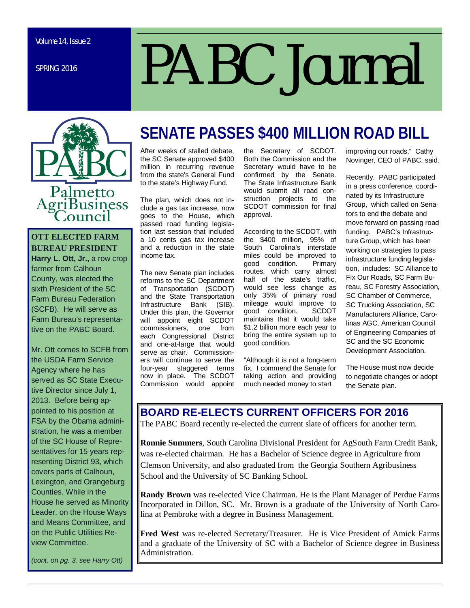SPRING 2016

# *PABC Journal*



#### **OTT ELECTED FARM BUREAU PRESIDENT**

**Harry L. Ott, Jr., a row crop** farmer from Calhoun County, was elected the sixth President of the SC Farm Bureau Federation (SCFB). He will serve as Farm Bureau's representative on the PABC Board.

Mr. Ott comes to SCFB from the USDA Farm Service Agency where he has served as SC State Executive Director since July 1, 2013. Before being appointed to his position at FSA by the Obama administration, he was a member of the SC House of Representatives for 15 years representing District 93, which covers parts of Calhoun, Lexington, and Orangeburg Counties. While in the House he served as Minority Leader, on the House Ways and Means Committee, and on the Public Utilities Review Committee.

*(cont. on pg. 3, see Harry Ott)* 

# **SENATE PASSES \$400 MILLION ROAD BILL**

After weeks of stalled debate, the SC Senate approved \$400 million in recurring revenue from the state's General Fund to the state's Highway Fund.

The plan, which does not include a gas tax increase, now goes to the House, which passed road funding legislation last session that included a 10 cents gas tax increase and a reduction in the state income tax.

The new Senate plan includes reforms to the SC Department of Transportation (SCDOT) and the State Transportation<br>Infrastructure Bank (SIB). Infrastructure Bank Under this plan, the Governor will appoint eight SCDOT<br>commissioners. one from commissioners, each Congressional District and one-at-large that would serve as chair. Commissioners will continue to serve the four-year staggered terms now in place. The SCDOT Commission would appoint the Secretary of SCDOT. Both the Commission and the Secretary would have to be confirmed by the Senate. The State Infrastructure Bank would submit all road construction projects to the SCDOT commission for final approval.

According to the SCDOT, with the \$400 million, 95% of South Carolina's interstate miles could be improved to<br>good condition. Primary good condition. routes, which carry almost half of the state's traffic, would see less change as only 35% of primary road mileage would improve to good condition. SCDOT maintains that it would take \$1.2 billion more each year to bring the entire system up to good condition.

"Although it is not a long-term fix, I commend the Senate for taking action and providing much needed money to start

improving our roads," Cathy Novinger, CEO of PABC, said.

Recently, PABC participated in a press conference, coordinated by its Infrastructure Group, which called on Senators to end the debate and move forward on passing road funding. PABC's Infrastructure Group, which has been working on strategies to pass infrastructure funding legislation, includes: SC Alliance to Fix Our Roads, SC Farm Bureau, SC Forestry Association, SC Chamber of Commerce, SC Trucking Association, SC Manufacturers Alliance, Carolinas AGC, American Council of Engineering Companies of SC and the SC Economic Development Association.

The House must now decide to negotiate changes or adopt the Senate plan.

#### **BOARD RE-ELECTS CURRENT OFFICERS FOR 2016**

The PABC Board recently re-elected the current slate of officers for another term.

**Ronnie Summers**, South Carolina Divisional President for AgSouth Farm Credit Bank, was re-elected chairman. He has a Bachelor of Science degree in Agriculture from Clemson University, and also graduated from the Georgia Southern Agribusiness School and the University of SC Banking School.

**Randy Brown** was re-elected Vice Chairman. He is the Plant Manager of Perdue Farms Incorporated in Dillon, SC. Mr. Brown is a graduate of the University of North Carolina at Pembroke with a degree in Business Management.

**Fred West** was re-elected Secretary/Treasurer. He is Vice President of Amick Farms and a graduate of the University of SC with a Bachelor of Science degree in Business Administration.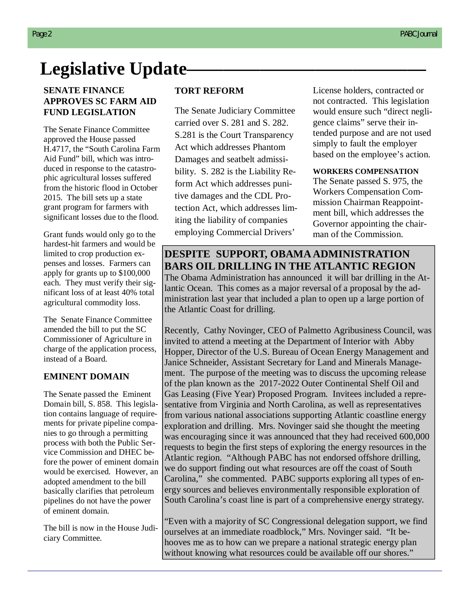# Legislative Update————————————————————

#### **SENATE FINANCE APPROVES SC FARM AID FUND LEGISLATION**

The Senate Finance Committee approved the House passed H.4717, the "South Carolina Farm Aid Fund" bill, which was introduced in response to the catastrophic agricultural losses suffered from the historic flood in October 2015. The bill sets up a state grant program for farmers with significant losses due to the flood.

Grant funds would only go to the hardest-hit farmers and would be limited to crop production expenses and losses. Farmers can apply for grants up to \$100,000 each. They must verify their significant loss of at least 40% total agricultural commodity loss.

The Senate Finance Committee amended the bill to put the SC Commissioner of Agriculture in charge of the application process, instead of a Board.

#### **EMINENT DOMAIN**

The Senate passed the Eminent Domain bill, S. 858. This legislation contains language of requirements for private pipeline companies to go through a permitting process with both the Public Service Commission and DHEC before the power of eminent domain would be exercised. However, an adopted amendment to the bill basically clarifies that petroleum pipelines do not have the power of eminent domain.

The bill is now in the House Judiciary Committee.

#### **TORT REFORM**

The Senate Judiciary Committee carried over S. 281 and S. 282. S.281 is the Court Transparency Act which addresses Phantom Damages and seatbelt admissibility. S. 282 is the Liability Reform Act which addresses punitive damages and the CDL Protection Act, which addresses limiting the liability of companies employing Commercial Drivers'

License holders, contracted or not contracted. This legislation would ensure such "direct negligence claims" serve their intended purpose and are not used simply to fault the employer based on the employee's action.

#### **WORKERS COMPENSATION**

The Senate passed S. 975, the Workers Compensation Commission Chairman Reappointment bill, which addresses the Governor appointing the chairman of the Commission.

### **DESPITE SUPPORT, OBAMA ADMINISTRATION BARS OIL DRILLING IN THE ATLANTIC REGION**

The Obama Administration has announced it will bar drilling in the Atlantic Ocean. This comes as a major reversal of a proposal by the administration last year that included a plan to open up a large portion of the Atlantic Coast for drilling.

Recently, Cathy Novinger, CEO of Palmetto Agribusiness Council, was invited to attend a meeting at the Department of Interior with Abby Hopper, Director of the U.S. Bureau of Ocean Energy Management and Janice Schneider, Assistant Secretary for Land and Minerals Management. The purpose of the meeting was to discuss the upcoming release of the plan known as the 2017-2022 Outer Continental Shelf Oil and Gas Leasing (Five Year) Proposed Program. Invitees included a representative from Virginia and North Carolina, as well as representatives from various national associations supporting Atlantic coastline energy exploration and drilling. Mrs. Novinger said she thought the meeting was encouraging since it was announced that they had received 600,000 requests to begin the first steps of exploring the energy resources in the Atlantic region. "Although PABC has not endorsed offshore drilling, we do support finding out what resources are off the coast of South Carolina," she commented. PABC supports exploring all types of energy sources and believes environmentally responsible exploration of South Carolina's coast line is part of a comprehensive energy strategy.

"Even with a majority of SC Congressional delegation support, we find ourselves at an immediate roadblock," Mrs. Novinger said. "It behooves me as to how can we prepare a national strategic energy plan without knowing what resources could be available off our shores."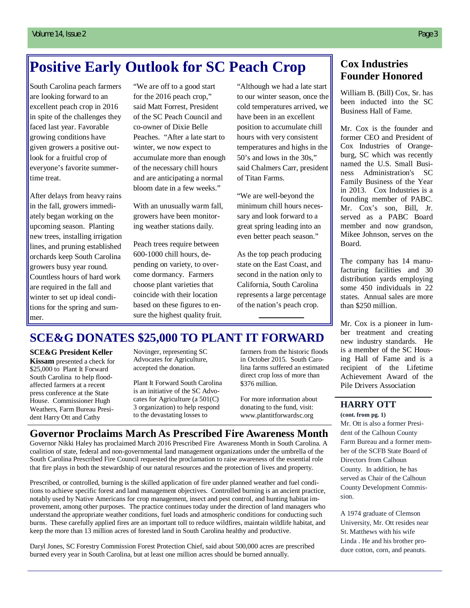## **Positive Early Outlook for SC Peach Crop**

South Carolina peach farmers are looking forward to an excellent peach crop in 2016 in spite of the challenges they faced last year. Favorable growing conditions have given growers a positive outlook for a fruitful crop of everyone's favorite summertime treat.

After delays from heavy rains in the fall, growers immediately began working on the upcoming season. Planting new trees, installing irrigation lines, and pruning established orchards keep South Carolina growers busy year round. Countless hours of hard work are required in the fall and winter to set up ideal conditions for the spring and summer.

"We are off to a good start for the 2016 peach crop," said Matt Forrest, President of the SC Peach Council and co-owner of Dixie Belle Peaches. "After a late start to winter, we now expect to accumulate more than enough of the necessary chill hours and are anticipating a normal bloom date in a few weeks."

With an unusually warm fall, growers have been monitoring weather stations daily.

Peach trees require between 600-1000 chill hours, depending on variety, to overcome dormancy. Farmers choose plant varieties that coincide with their location based on these figures to ensure the highest quality fruit.

"Although we had a late start to our winter season, once the cold temperatures arrived, we have been in an excellent position to accumulate chill hours with very consistent temperatures and highs in the 50's and lows in the 30s," said Chalmers Carr, president of Titan Farms.

"We are well-beyond the minimum chill hours necessary and look forward to a great spring leading into an even better peach season."

As the top peach producing state on the East Coast, and second in the nation only to California, South Carolina represents a large percentage of the nation's peach crop.

#### **Cox Industries Founder Honored**

William B. (Bill) Cox, Sr. has been inducted into the SC Business Hall of Fame.

Mr. Cox is the founder and former CEO and President of Cox Industries of Orangeburg, SC which was recently named the U.S. Small Business Administration's SC Family Business of the Year in 2013. Cox Industries is a founding member of PABC. Mr. Cox's son, Bill, Jr. served as a PABC Board member and now grandson, Mikee Johnson, serves on the Board.

The company has 14 manufacturing facilities and 30 distribution yards employing some 450 individuals in 22 states. Annual sales are more than \$250 million.

Mr. Cox is a pioneer in lumber treatment and creating new industry standards. He is a member of the SC Housing Hall of Fame and is a recipient of the Lifetime Achievement Award of the Pile Drivers Association

#### **HARRY OTT**

**(cont. from pg. 1)** Mr. Ott is also a former President of the Calhoun County Farm Bureau and a former member of the SCFB State Board of Directors from Calhoun County. In addition, he has served as Chair of the Calhoun County Development Commission.

A 1974 graduate of Clemson University, Mr. Ott resides near St. Matthews with his wife Linda . He and his brother produce cotton, corn, and peanuts.

## **SCE&G DONATES \$25,000 TO PLANT IT FORWARD**

#### **SCE&G President Keller**

**Kissam** presented a check for \$25,000 to Plant It Forward South Carolina to help floodaffected farmers at a recent press conference at the State House. Commissioner Hugh Weathers, Farm Bureau President Harry Ott and Cathy

Novinger, representing SC Advocates for Agriculture, accepted the donation.

Plant It Forward South Carolina is an initiative of the SC Advocates for Agriculture (a 501(C) 3 organization) to help respond to the devastating losses to

farmers from the historic floods in October 2015. South Carolina farms suffered an estimated direct crop loss of more than \$376 million.

For more information about donating to the fund, visit: www.plantitforwardsc.org

#### **Governor Proclaims March As Prescribed Fire Awareness Month**

Governor Nikki Haley has proclaimed March 2016 Prescribed Fire Awareness Month in South Carolina. A coalition of state, federal and non-governmental land management organizations under the umbrella of the South Carolina Prescribed Fire Council requested the proclamation to raise awareness of the essential role that fire plays in both the stewardship of our natural resources and the protection of lives and property.

Prescribed, or controlled, burning is the skilled application of fire under planned weather and fuel conditions to achieve specific forest and land management objectives. Controlled burning is an ancient practice, notably used by Native Americans for crop management, insect and pest control, and hunting habitat improvement, among other purposes. The practice continues today under the direction of land managers who understand the appropriate weather conditions, fuel loads and atmospheric conditions for conducting such burns. These carefully applied fires are an important toll to reduce wildfires, maintain wildlife habitat, and keep the more than 13 million acres of forested land in South Carolina healthy and productive.

Daryl Jones, SC Forestry Commission Forest Protection Chief, said about 500,000 acres are prescribed burned every year in South Carolina, but at least one million acres should be burned annually.